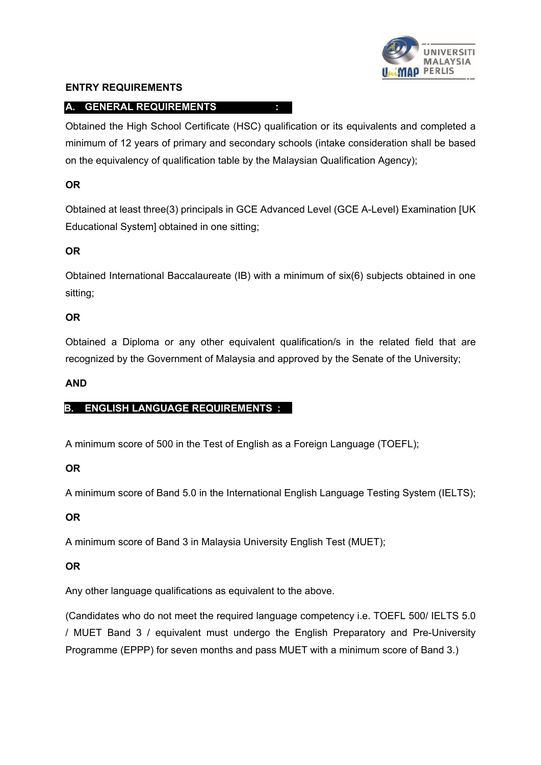# **MALAYSIA** PERLIS

# **ENTRY REQUIREMENTS**

# **A. GENERAL REQUIREMENTS :**

Obtained the High School Certificate (HSC) qualification or its equivalents and completed a minimum of 12 years of primary and secondary schools (intake consideration shall be based on the equivalency of qualification table by the Malaysian Qualification Agency);

# **OR**

Obtained at least three(3) principals in GCE Advanced Level (GCE A-Level) Examination [UK Educational System] obtained in one sitting;

# **OR**

Obtained International Baccalaureate (IB) with a minimum of six(6) subjects obtained in one sitting;

# **OR**

Obtained a Diploma or any other equivalent qualification/s in the related field that are recognized by the Government of Malaysia and approved by the Senate of the University;

# **AND**

# **B. ENGLISH LANGUAGE REQUIREMENTS :**

A minimum score of 500 in the Test of English as a Foreign Language (TOEFL);

# **OR**

A minimum score of Band 5.0 in the International English Language Testing System (IELTS);

# **OR**

A minimum score of Band 3 in Malaysia University English Test (MUET);

# **OR**

Any other language qualifications as equivalent to the above.

(Candidates who do not meet the required language competency i.e. TOEFL 500/ IELTS 5.0 / MUET Band 3 / equivalent must undergo the English Preparatory and Pre-University Programme (EPPP) for seven months and pass MUET with a minimum score of Band 3.)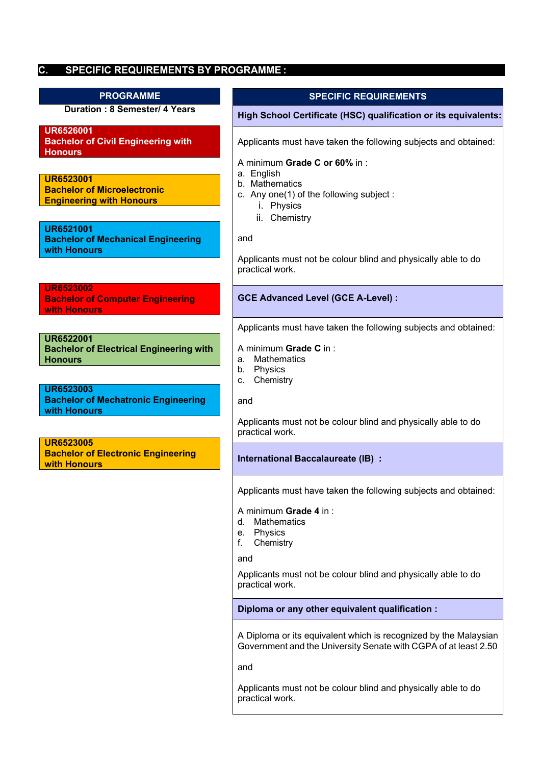**C. SPECIFIC REQUIREMENTS BY PROGRAMME :**

| <b>PROGRAMME</b>                                                                          | <b>SPECIFIC REQUIREMENTS</b>                                                                                                        |
|-------------------------------------------------------------------------------------------|-------------------------------------------------------------------------------------------------------------------------------------|
| <b>Duration: 8 Semester/ 4 Years</b>                                                      | High School Certificate (HSC) qualification or its equivalents:                                                                     |
| <b>UR6526001</b><br><b>Bachelor of Civil Engineering with</b><br><b>Honours</b>           | Applicants must have taken the following subjects and obtained:<br>A minimum Grade C or 60% in :                                    |
| <b>UR6523001</b><br><b>Bachelor of Microelectronic</b><br><b>Engineering with Honours</b> | a. English<br>b. Mathematics<br>c. Any one(1) of the following subject:<br>i. Physics<br>ii. Chemistry                              |
| <b>UR6521001</b><br><b>Bachelor of Mechanical Engineering</b><br>with Honours             | and                                                                                                                                 |
|                                                                                           | Applicants must not be colour blind and physically able to do<br>practical work.                                                    |
| <b>UR6523002</b><br><b>Bachelor of Computer Engineering</b><br>with Honours               | <b>GCE Advanced Level (GCE A-Level):</b>                                                                                            |
|                                                                                           | Applicants must have taken the following subjects and obtained:                                                                     |
| <b>UR6522001</b><br><b>Bachelor of Electrical Engineering with</b><br><b>Honours</b>      | A minimum Grade C in:<br>Mathematics<br>a.<br>Physics<br>b.                                                                         |
| <b>UR6523003</b>                                                                          | Chemistry<br>c.                                                                                                                     |
| <b>Bachelor of Mechatronic Engineering</b><br>with Honours                                | and<br>Applicants must not be colour blind and physically able to do<br>practical work.                                             |
| <b>UR6523005</b><br><b>Bachelor of Electronic Engineering</b><br>with Honours             | International Baccalaureate (IB) :                                                                                                  |
|                                                                                           | Applicants must have taken the following subjects and obtained:                                                                     |
|                                                                                           | A minimum Grade 4 in:<br><b>Mathematics</b><br>d.<br>Physics<br>е.<br>Chemistry<br>f.                                               |
|                                                                                           | and                                                                                                                                 |
|                                                                                           | Applicants must not be colour blind and physically able to do<br>practical work.                                                    |
|                                                                                           | Diploma or any other equivalent qualification :                                                                                     |
|                                                                                           | A Diploma or its equivalent which is recognized by the Malaysian<br>Government and the University Senate with CGPA of at least 2.50 |

and

Applicants must not be colour blind and physically able to do practical work.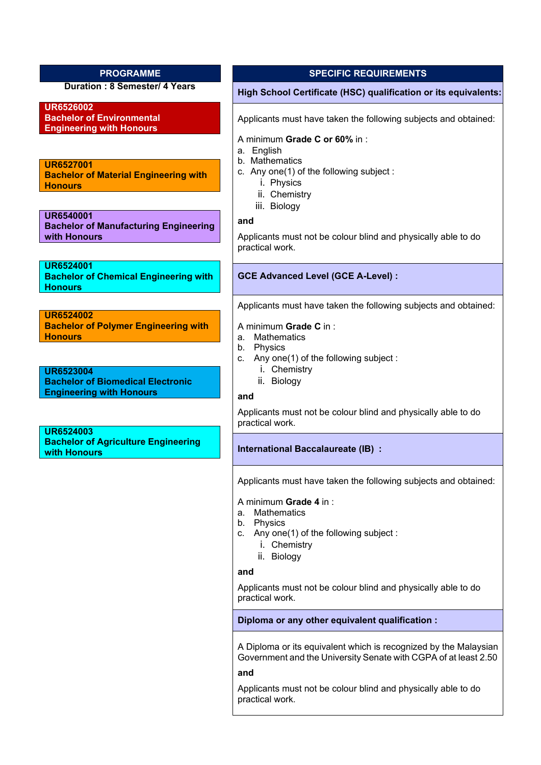**Duration : 8 Semester/ 4 Years**

**UR6526002 Bachelor of Environmental Engineering with Honours**

**UR6527001 Bachelor of Material Engineering with Honours**

**UR6540001 Bachelor of Manufacturing Engineering with Honours**

**UR6524001 Bachelor of Chemical Engineering with Honours**

**UR6524002 Bachelor of Polymer Engineering with Honours**

**UR6523004 Bachelor of Biomedical Electronic Engineering with Honours**

**UR6524003 Bachelor of Agriculture Engineering with Honours**

# **PROGRAMME SPECIFIC REQUIREMENTS**

#### **High School Certificate (HSC) qualification or its equivalents:**

Applicants must have taken the following subjects and obtained:

#### A minimum **Grade C or 60%** in :

- a. English
- b. Mathematics
- c. Any one(1) of the following subject :
	- i. Physics
	- ii. Chemistry
	- iii. Biology

**and**

Applicants must not be colour blind and physically able to do practical work.

#### **GCE Advanced Level (GCE A-Level) :**

Applicants must have taken the following subjects and obtained:

#### A minimum **Grade C** in :

- a. Mathematics
- b. Physics
- c. Any one(1) of the following subject :
	- i. Chemistry
	- ii. Biology

#### **and**

Applicants must not be colour blind and physically able to do practical work.

#### **International Baccalaureate (IB) :**

Applicants must have taken the following subjects and obtained:

#### A minimum **Grade 4** in :

- a. Mathematics
- b. Physics
- c. Any one(1) of the following subject :
	- i. Chemistry
	- ii. Biology

#### **and**

Applicants must not be colour blind and physically able to do practical work.

### **Diploma or any other equivalent qualification :**

A Diploma or its equivalent which is recognized by the Malaysian Government and the University Senate with CGPA of at least 2.50

#### **and**

Applicants must not be colour blind and physically able to do practical work.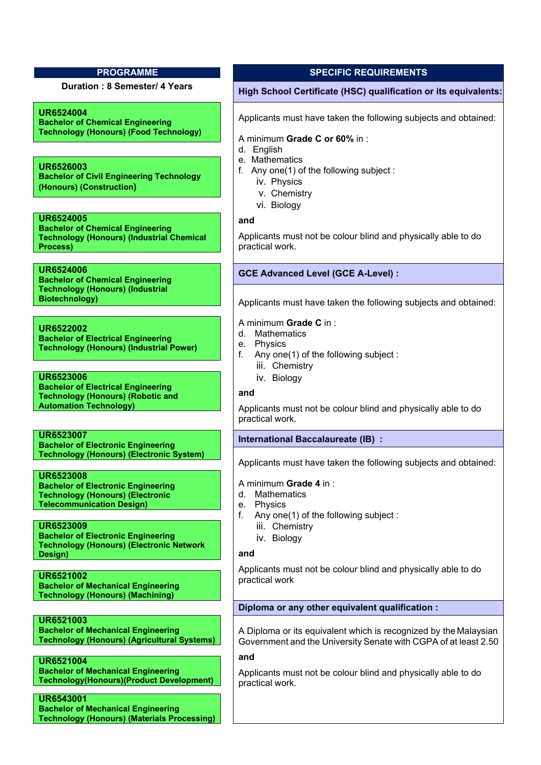**UR6524004**

**Bachelor of Chemical Engineering Technology (Honours) (Food Technology)**

**UR6526003 Bachelor of Civil Engineering Technology (Honours) (Construction)**

## **UR6524005**

**Bachelor of Chemical Engineering Technology (Honours) (Industrial Chemical Process)**

# **UR6524006**

**Bachelor of Chemical Engineering Technology (Honours) (Industrial Biotechnology)**

**UR6522002 Bachelor of Electrical Engineering Technology (Honours) (Industrial Power)**

**UR6523006 Bachelor of Electrical Engineering Technology (Honours) (Robotic and Automation Technology)**

**UR6523007 Bachelor of Electronic Engineering Technology (Honours) (Electronic System)**

# **UR6523008**

**Bachelor of Electronic Engineering Technology (Honours) (Electronic Telecommunication Design)**

#### **UR6523009**

**Bachelor of Electronic Engineering Technology (Honours) (Electronic Network Design)**

**UR6521002 Bachelor of Mechanical Engineering Technology (Honours) (Machining)**

**UR6521003 Bachelor of Mechanical Engineering Technology (Honours) (Agricultural Systems)**

**UR6521004 Bachelor of Mechanical Engineering Technology(Honours)(Product Development)**

**UR6543001 Bachelor of Mechanical Engineering Technology (Honours) (Materials Processing)**

# **PROGRAMME SPECIFIC REQUIREMENTS**

# **Duration : 8 Semester/ 4 Years High School Certificate (HSC) qualification or its equivalents:**

Applicants must have taken the following subjects and obtained:

#### A minimum **Grade C or 60%** in :

- d. English
- e. Mathematics
- f. Any one(1) of the following subject :
	- iv. Physics
	- v. Chemistry
	- vi. Biology

#### **and**

Applicants must not be colour blind and physically able to do practical work.

# **GCE Advanced Level (GCE A-Level) :**

Applicants must have taken the following subjects and obtained:

## A minimum **Grade C** in :

- d. Mathematics
- e. Physics
- f. Any one(1) of the following subject :
	- iii. Chemistry
	- iv. Biology

## **and**

Applicants must not be colour blind and physically able to do practical work.

# **International Baccalaureate (IB) :**

Applicants must have taken the following subjects and obtained:

#### A minimum **Grade 4** in :

- d. Mathematics
- e. Physics
- f. Any one(1) of the following subject :
	- iii. Chemistry
	- iv. Biology

#### **and**

Applicants must not be colour blind and physically able to do practical work

# **Diploma or any other equivalent qualification :**

A Diploma or its equivalent which is recognized by the Malaysian Government and the University Senate with CGPA of at least 2.50

**and**

Applicants must not be colour blind and physically able to do practical work.